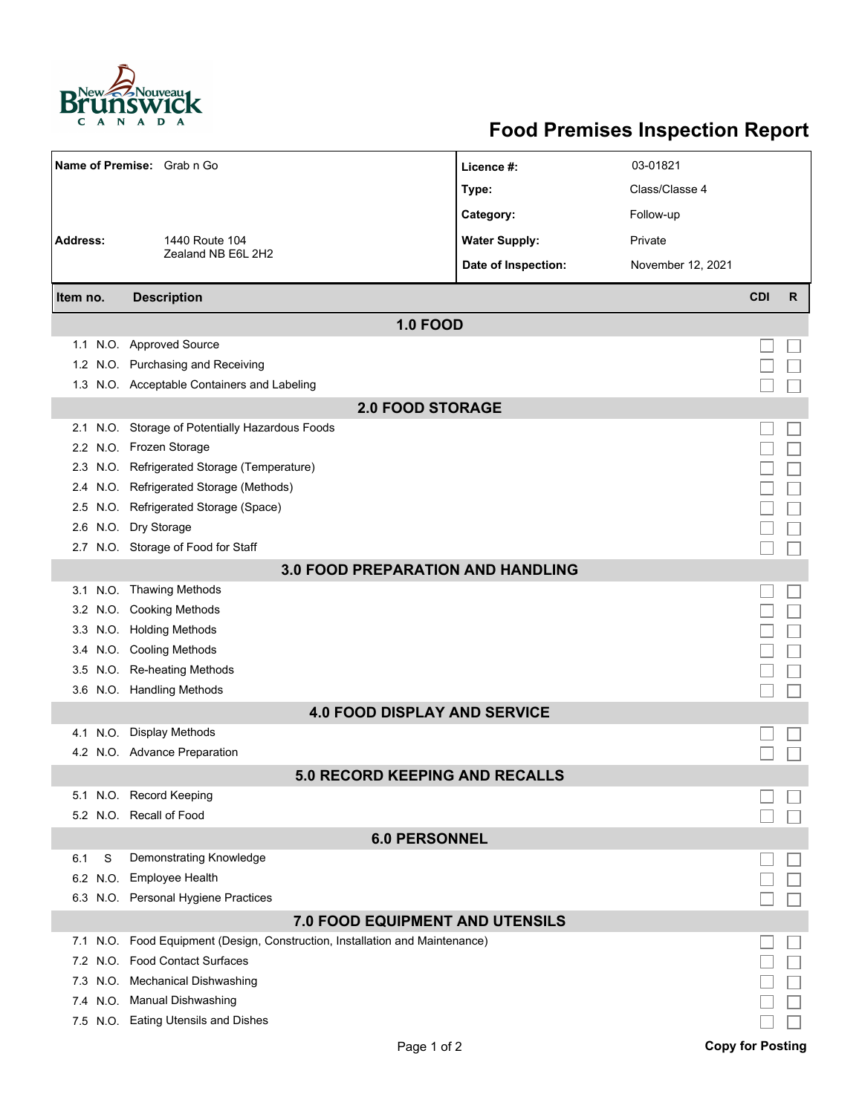

## **Food Premises Inspection Report**

| Name of Premise: Grab n Go               |                                                                          | Licence #:           | 03-01821          |                         |   |  |  |  |
|------------------------------------------|--------------------------------------------------------------------------|----------------------|-------------------|-------------------------|---|--|--|--|
|                                          |                                                                          | Type:                | Class/Classe 4    |                         |   |  |  |  |
|                                          |                                                                          | Category:            | Follow-up         |                         |   |  |  |  |
| <b>Address:</b><br>1440 Route 104        |                                                                          | <b>Water Supply:</b> | Private           |                         |   |  |  |  |
|                                          | Zealand NB E6L 2H2                                                       | Date of Inspection:  | November 12, 2021 |                         |   |  |  |  |
|                                          |                                                                          |                      |                   |                         |   |  |  |  |
| Item no.                                 | <b>Description</b>                                                       |                      |                   | <b>CDI</b>              | R |  |  |  |
| <b>1.0 FOOD</b>                          |                                                                          |                      |                   |                         |   |  |  |  |
|                                          | 1.1 N.O. Approved Source                                                 |                      |                   |                         |   |  |  |  |
|                                          | 1.2 N.O. Purchasing and Receiving                                        |                      |                   |                         |   |  |  |  |
|                                          | 1.3 N.O. Acceptable Containers and Labeling                              |                      |                   |                         |   |  |  |  |
| <b>2.0 FOOD STORAGE</b>                  |                                                                          |                      |                   |                         |   |  |  |  |
| 2.1                                      | N.O. Storage of Potentially Hazardous Foods                              |                      |                   |                         |   |  |  |  |
|                                          | 2.2 N.O. Frozen Storage                                                  |                      |                   |                         |   |  |  |  |
| 2.3                                      | N.O. Refrigerated Storage (Temperature)                                  |                      |                   |                         |   |  |  |  |
|                                          | 2.4 N.O. Refrigerated Storage (Methods)                                  |                      |                   |                         |   |  |  |  |
|                                          | 2.5 N.O. Refrigerated Storage (Space)                                    |                      |                   |                         |   |  |  |  |
| 2.6                                      | N.O. Dry Storage                                                         |                      |                   |                         |   |  |  |  |
|                                          | 2.7 N.O. Storage of Food for Staff                                       |                      |                   |                         |   |  |  |  |
| <b>3.0 FOOD PREPARATION AND HANDLING</b> |                                                                          |                      |                   |                         |   |  |  |  |
|                                          | 3.1 N.O. Thawing Methods                                                 |                      |                   |                         |   |  |  |  |
|                                          | 3.2 N.O. Cooking Methods                                                 |                      |                   |                         |   |  |  |  |
|                                          | 3.3 N.O. Holding Methods                                                 |                      |                   |                         |   |  |  |  |
|                                          | 3.4 N.O. Cooling Methods                                                 |                      |                   |                         |   |  |  |  |
| 3.5                                      | N.O. Re-heating Methods                                                  |                      |                   |                         |   |  |  |  |
|                                          | 3.6 N.O. Handling Methods                                                |                      |                   |                         |   |  |  |  |
| <b>4.0 FOOD DISPLAY AND SERVICE</b>      |                                                                          |                      |                   |                         |   |  |  |  |
| 4.1                                      | N.O. Display Methods                                                     |                      |                   |                         |   |  |  |  |
|                                          | 4.2 N.O. Advance Preparation                                             |                      |                   |                         |   |  |  |  |
| <b>5.0 RECORD KEEPING AND RECALLS</b>    |                                                                          |                      |                   |                         |   |  |  |  |
|                                          | 5.1 N.O. Record Keeping                                                  |                      |                   |                         |   |  |  |  |
|                                          | 5.2 N.O. Recall of Food                                                  |                      |                   |                         |   |  |  |  |
| <b>6.0 PERSONNEL</b>                     |                                                                          |                      |                   |                         |   |  |  |  |
| S<br>6.1                                 | Demonstrating Knowledge                                                  |                      |                   |                         |   |  |  |  |
|                                          | 6.2 N.O. Employee Health                                                 |                      |                   |                         |   |  |  |  |
|                                          | 6.3 N.O. Personal Hygiene Practices                                      |                      |                   |                         |   |  |  |  |
| 7.0 FOOD EQUIPMENT AND UTENSILS          |                                                                          |                      |                   |                         |   |  |  |  |
| 7.1                                      | N.O. Food Equipment (Design, Construction, Installation and Maintenance) |                      |                   |                         |   |  |  |  |
| 7.2                                      | N.O. Food Contact Surfaces                                               |                      |                   |                         |   |  |  |  |
| 7.3                                      | N.O. Mechanical Dishwashing                                              |                      |                   |                         |   |  |  |  |
|                                          | 7.4 N.O. Manual Dishwashing                                              |                      |                   |                         |   |  |  |  |
|                                          | 7.5 N.O. Eating Utensils and Dishes                                      |                      |                   |                         |   |  |  |  |
|                                          | Page 1 of 2                                                              |                      |                   | <b>Copy for Posting</b> |   |  |  |  |